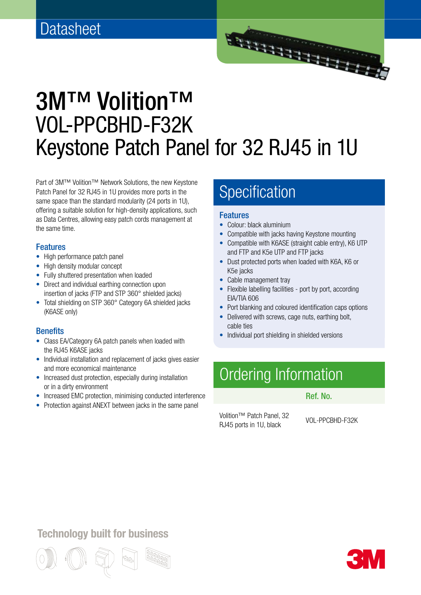

# 3M™ Volition™ VOL-PPCBHD-F32K Keystone Patch Panel for 32 RJ45 in 1U

Part of 3M™ Volition™ Network Solutions, the new Keystone Patch Panel for 32 RJ45 in 1U provides more ports in the same space than the standard modularity (24 ports in 1U), offering a suitable solution for high-density applications, such as Data Centres, allowing easy patch cords management at the same time.

#### Features

- High performance patch panel
- High density modular concept
- Fully shuttered presentation when loaded
- Direct and individual earthing connection upon insertion of jacks (FTP and STP 360° shielded jacks)
- Total shielding on STP 360° Category 6A shielded jacks (K6ASE only)

#### **Benefits**

- Class EA/Category 6A patch panels when loaded with the RJ45 K6ASE jacks
- Individual installation and replacement of jacks gives easier and more economical maintenance
- Increased dust protection, especially during installation or in a dirty environment
- Increased EMC protection, minimising conducted interference
- Protection against ANEXT between jacks in the same panel

### Specification

#### Features

- Colour: black aluminium
- Compatible with jacks having Keystone mounting
- Compatible with K6ASE (straight cable entry), K6 UTP and FTP and K5e UTP and FTP jacks
- Dust protected ports when loaded with K6A, K6 or K5e jacks
- Cable management tray
- Flexible labelling facilities port by port, according EIA/TIA 606
- Port blanking and coloured identification caps options
- Delivered with screws, cage nuts, earthing bolt, cable ties
- Individual port shielding in shielded versions

## Ordering Information

#### Ref. No.

Volition™ Patch Panel, 32 Polition Praterly and CDL-PPCBHD-F32K<br>RJ45 ports in 1U, black

### **Technology built for business**